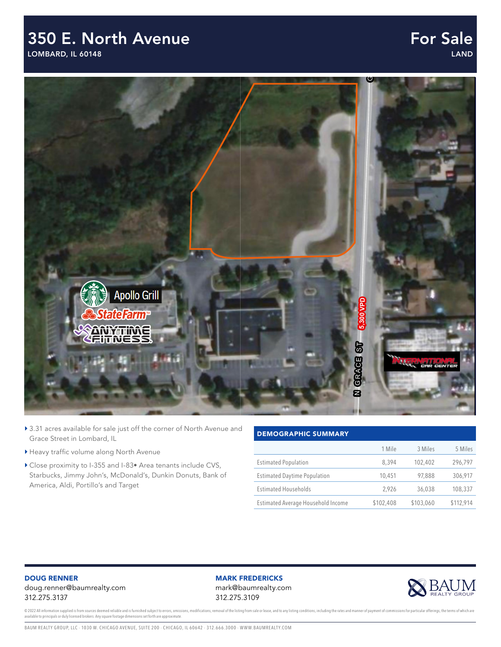## 350 E. North Avenue 350 E North Ave

LOMBARD, IL 60148 Lombard, IL

### For Sale LAND



- N O R T H AV E ▶ 3.31 acres available for sale just off the corner of North Avenue and Grace Street in Lombard, IL
- Heavy traffic volume along North Avenue
- ▶ Close proximity to I-355 and I-83• Area tenants include CVS, Starbucks, Jimmy John's, McDonald's, Dunkin Donuts, Bank of America, Aldi, Portillo's and Target

#### DEMOGRAPHIC SUMMARY

|                                     | 1 Mile    | 3 Miles   | 5 Miles   |
|-------------------------------------|-----------|-----------|-----------|
| <b>Estimated Population</b>         | 8,394     | 102,402   | 296,797   |
| <b>Estimated Daytime Population</b> | 10,451    | 97,888    | 306,917   |
| <b>Estimated Households</b>         | 2.926     | 36,038    | 108,337   |
| Estimated Average Household Income  | \$102,408 | \$103,060 | \$112,914 |

#### DOUG RENNER doug.renner@baumrealty.com 312.275.3137

### MARK FREDERICKS

mark@baumrealty.com 312.275.3109



© 2022 All information supplied is from sources deemed reliable and is furnished subject to errors, omissions, modifications, removal of the listing from sale or lease, and to any listing conditions, including the rates an available to principals or duly licensed brokers. Any square footage dimensions set forth are approximate. to subject to errors, omissions, mounications, removal or the insting nom sale or lease, and to any insting conditions, mcluding tim<br>cat forth are annovimate Copyright © 2022 Baum Realty Group, LLC. All rights reserved. www.baumrealty.com.

BAUM REALTY GROUP, LLC · 1030 W. CHICAGO AVENUE, SUITE 200 · CHICAGO, IL 60642 · 312.666.3000 · WWW.BAUMREALTY.COM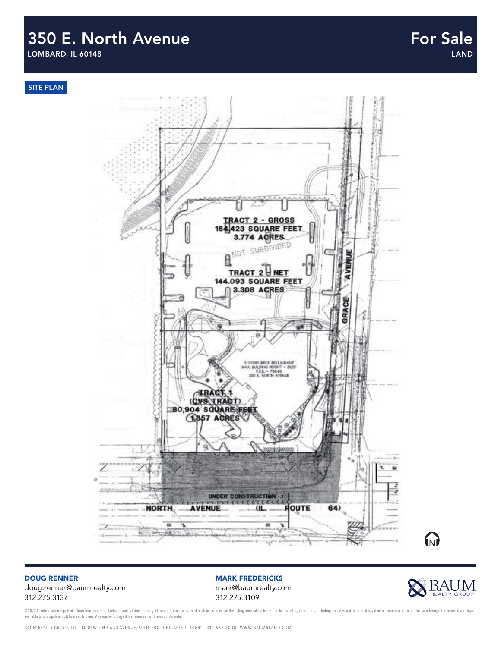# 350 E. North Avenue

LOMBARD, IL 60148



#### DOUG RENNER doug.renner@baumrealty.com 312.275.3137

MARK FREDERICKS

mark@baumrealty.com 312.275.3109



© 2022 All information supplied is from sources deemed reliable and is furnished subject to errors, omissions, modifications, removal of the listing from sale or lease, and to any listing conditions, including the rates an available to principals or duly licensed brokers. Any square footage dimensions set forth are approximate.